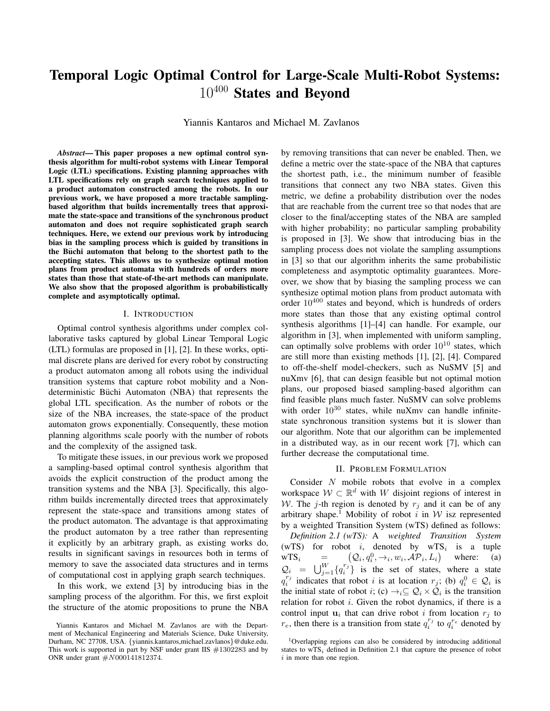# Temporal Logic Optimal Control for Large-Scale Multi-Robot Systems: 10<sup>400</sup> States and Beyond

Yiannis Kantaros and Michael M. Zavlanos

*Abstract*— This paper proposes a new optimal control synthesis algorithm for multi-robot systems with Linear Temporal Logic (LTL) specifications. Existing planning approaches with LTL specifications rely on graph search techniques applied to a product automaton constructed among the robots. In our previous work, we have proposed a more tractable samplingbased algorithm that builds incrementally trees that approximate the state-space and transitions of the synchronous product automaton and does not require sophisticated graph search techniques. Here, we extend our previous work by introducing bias in the sampling process which is guided by transitions in the Büchi automaton that belong to the shortest path to the accepting states. This allows us to synthesize optimal motion plans from product automata with hundreds of orders more states than those that state-of-the-art methods can manipulate. We also show that the proposed algorithm is probabilistically complete and asymptotically optimal.

### I. INTRODUCTION

Optimal control synthesis algorithms under complex collaborative tasks captured by global Linear Temporal Logic (LTL) formulas are proposed in [1], [2]. In these works, optimal discrete plans are derived for every robot by constructing a product automaton among all robots using the individual transition systems that capture robot mobility and a Nondeterministic Büchi Automaton (NBA) that represents the global LTL specification. As the number of robots or the size of the NBA increases, the state-space of the product automaton grows exponentially. Consequently, these motion planning algorithms scale poorly with the number of robots and the complexity of the assigned task.

To mitigate these issues, in our previous work we proposed a sampling-based optimal control synthesis algorithm that avoids the explicit construction of the product among the transition systems and the NBA [3]. Specifically, this algorithm builds incrementally directed trees that approximately represent the state-space and transitions among states of the product automaton. The advantage is that approximating the product automaton by a tree rather than representing it explicitly by an arbitrary graph, as existing works do, results in significant savings in resources both in terms of memory to save the associated data structures and in terms of computational cost in applying graph search techniques.

In this work, we extend [3] by introducing bias in the sampling process of the algorithm. For this, we first exploit the structure of the atomic propositions to prune the NBA by removing transitions that can never be enabled. Then, we define a metric over the state-space of the NBA that captures the shortest path, i.e., the minimum number of feasible transitions that connect any two NBA states. Given this metric, we define a probability distribution over the nodes that are reachable from the current tree so that nodes that are closer to the final/accepting states of the NBA are sampled with higher probability; no particular sampling probability is proposed in [3]. We show that introducing bias in the sampling process does not violate the sampling assumptions in [3] so that our algorithm inherits the same probabilistic completeness and asymptotic optimality guarantees. Moreover, we show that by biasing the sampling process we can synthesize optimal motion plans from product automata with order  $10^{400}$  states and beyond, which is hundreds of orders more states than those that any existing optimal control synthesis algorithms [1]–[4] can handle. For example, our algorithm in [3], when implemented with uniform sampling, can optimally solve problems with order  $10^{10}$  states, which are still more than existing methods [1], [2], [4]. Compared to off-the-shelf model-checkers, such as NuSMV [5] and nuXmv [6], that can design feasible but not optimal motion plans, our proposed biased sampling-based algorithm can find feasible plans much faster. NuSMV can solve problems with order  $10^{30}$  states, while nuXmv can handle infinitestate synchronous transition systems but it is slower than our algorithm. Note that our algorithm can be implemented in a distributed way, as in our recent work [7], which can further decrease the computational time.

## II. PROBLEM FORMULATION

Consider N mobile robots that evolve in a complex workspace  $W \subset \mathbb{R}^d$  with W disjoint regions of interest in W. The j-th region is denoted by  $r_i$  and it can be of any arbitrary shape.<sup>1</sup> Mobility of robot i in  $W$  isz represented by a weighted Transition System (wTS) defined as follows: *Definition 2.1 (wTS):* A *weighted Transition System* (wTS) for robot *i*, denoted by wTS<sub>i</sub> is a tuple  $WTS_i =$  $(Q_i, q_i^0, \rightarrow_i, w_i, \mathcal{AP}_i, L_i)$  where: (a)  $\mathcal{Q}_i = \bigcup_{j=1}^W \{q_i^{r_j}\}\$ is the set of states, where a state  $q_i^{r_j}$  indicates that robot i is at location  $r_j$ ; (b)  $q_i^0 \in Q_i$  is the initial state of robot *i*; (c)  $\rightarrow_i \subseteq Q_i \times Q_i$  is the transition relation for robot  $i$ . Given the robot dynamics, if there is a control input  $u_i$  that can drive robot i from location  $r_j$  to  $r_e$ , then there is a transition from state  $q_i^{r_j}$  to  $q_i^{r_e}$  denoted by

Yiannis Kantaros and Michael M. Zavlanos are with the Department of Mechanical Engineering and Materials Science, Duke University, Durham, NC 27708, USA. {yiannis.kantaros,michael.zavlanos}@duke.edu. This work is supported in part by NSF under grant IIS  $#1302283$  and by ONR under grant #N000141812374.

<sup>1</sup>Overlapping regions can also be considered by introducing additional states to  $WTS_i$  defined in Definition 2.1 that capture the presence of robot  $i$  in more than one region.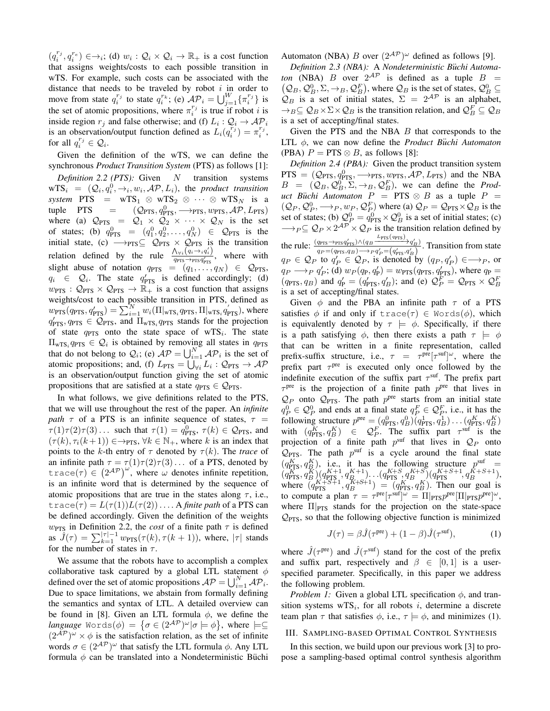$(q_i^{r_j}, q_i^{r_e}) \in \rightarrow_i$ ; (d)  $w_i : \mathcal{Q}_i \times \mathcal{Q}_i \rightarrow \mathbb{R}_+$  is a cost function that assigns weights/costs to each possible transition in wTS. For example, such costs can be associated with the distance that needs to be traveled by robot  $i$  in order to move from state  $q_i^{r_j}$  to state  $q_i^{r_k}$ ; (e)  $\mathcal{AP}_i = \bigcup_{j=1}^W \{\pi_i^{r_j}\}\$ is the set of atomic propositions, where  $\pi_i^{r_j}$  is true if robot *i* is inside region  $r_j$  and false otherwise; and (f)  $L_i$  :  $\mathcal{Q}_i \to \mathcal{AP}_i$ is an observation/output function defined as  $L_i(q_i^{r_j}) = \pi_i^{r_j}$ , for all  $q_i^{r_j} \in \mathcal{Q}_i$ .

Given the definition of the wTS, we can define the synchronous *Product Transition System* (PTS) as follows [1]: *Definition 2.2 (PTS):* Given N transition systems  $WTS_i = (Q_i, q_i^0, \rightarrow_i, w_i, \mathcal{AP}, L_i)$ , the *product transition*  $system$  PTS = wTS<sub>1</sub> ⊗ wTS<sub>2</sub> ⊗ · · · ⊗ wTS<sub>N</sub> is a tuple PTS =  $(\mathcal{Q}_{\text{PTS}}, q_{\text{PTS}}^0, \longrightarrow_{\text{PTS}}, w_{\text{PTS}}, \mathcal{AP}, L_{\text{PTS}})$ where (a)  $\mathcal{Q}_{PTS} = \mathcal{Q}_1 \times \mathcal{Q}_2 \times \cdots \times \mathcal{Q}_N$  is the set of states; (b)  $q_{\text{PTS}}^0 = (q_1^0, q_2^0, \dots, q_N^0) \in \mathcal{Q}_{\text{PTS}}$  is the initial state, (c)  $\longrightarrow_{\text{PTS}} \subseteq Q_{\text{PTS}} \times Q_{\text{PTS}}$  is the transition relation defined by the rule  $\frac{\Lambda_{\forall i}(q_i \rightarrow i q'_i)}{q_{\text{rms}} \rightarrow \text{rms} q'_i}$  $\frac{\gamma_{\forall i} (q_i \gamma_i q_i)}{q_{\text{PTS}} \rightarrow \text{prs} q'_{\text{PTS}}}$ , where with slight abuse of notation  $q_{\text{PTS}} = (q_1, \ldots, q_N) \in \mathcal{Q}_{\text{PTS}},$  $q_i \in Q_i$ . The state  $q'_{\text{PTS}}$  is defined accordingly; (d)  $w_{\text{PTS}}$ :  $\mathcal{Q}_{\text{PTS}} \times \mathcal{Q}_{\text{PTS}} \rightarrow \mathbb{R}_+$  is a cost function that assigns weights/cost to each possible transition in PTS, defined as  $w_{\text{PTS}}(q_{\text{PTS}}, q'_{\text{PTS}}) = \sum_{i=1}^{N} w_i (\Pi|_{wTS_i} q_{\text{PTS}}, \Pi|_{wTS_i} q'_{\text{PTS}})$ , where  $q'_{\text{PTS}}, q_{\text{PTS}} \in \mathcal{Q}_{\text{PTS}}, \overline{\text{and } \Pi_{\text{WTS}_i} q_{\text{PTS}}} \text{ stands for the projection}$ of state  $q_{\text{PTS}}$  onto the state space of wTS<sub>i</sub>. The state  $\Pi_{\text{wTS}_i} q_{\text{PTS}} \in \mathcal{Q}_i$  is obtained by removing all states in  $q_{\text{PTS}}$ that do not belong to  $Q_i$ ; (e)  $AP = \bigcup_{i=1}^N AP_i$  is the set of atomic propositions; and, (f)  $L_{\text{PTS}} = \bigcup_{\forall i} L_i : \mathcal{Q}_{\text{PTS}} \to \mathcal{AP}$ is an observation/output function giving the set of atomic propositions that are satisfied at a state  $q_{\text{PTS}} \in \mathcal{Q}_{\text{PTS}}$ .

In what follows, we give definitions related to the PTS, that we will use throughout the rest of the paper. An *infinite path*  $\tau$  of a PTS is an infinite sequence of states,  $\tau$  =  $\tau(1)\tau(2)\tau(3) \ldots$  such that  $\tau(1) = q_{\text{PTS}}^0$ ,  $\tau(k) \in \mathcal{Q}_{\text{PTS}}$ , and  $(\tau(k), \tau_i(k+1)) \in \rightarrow_{\text{PTS}}, \forall k \in \mathbb{N}_+,$  where k is an index that points to the k-th entry of  $\tau$  denoted by  $\tau(k)$ . The *trace* of an infinite path  $\tau = \tau(1)\tau(2)\tau(3) \ldots$  of a PTS, denoted by trace( $\tau$ )  $\in (2^{AP})^{\omega}$ , where  $\omega$  denotes infinite repetition, is an infinite word that is determined by the sequence of atomic propositions that are true in the states along  $\tau$ , i.e.,  $trace(\tau) = L(\tau(1))L(\tau(2))\ldots$  A *finite path* of a PTS can be defined accordingly. Given the definition of the weights  $w_{\text{PTS}}$  in Definition 2.2, the *cost* of a finite path  $\tau$  is defined as  $\hat{J}(\tau) = \sum_{k=1}^{|\tau|-1} w_{\text{PTS}}(\tau(k), \tau(k+1)),$  where,  $|\tau|$  stands for the number of states in  $\tau$ .

We assume that the robots have to accomplish a complex collaborative task captured by a global LTL statement  $\phi$ defined over the set of atomic propositions  $AP = \bigcup_{i=1}^{N} AP_i$ . Due to space limitations, we abstain from formally defining the semantics and syntax of LTL. A detailed overview can be found in [8]. Given an LTL formula  $\phi$ , we define the *language* Words $(\phi) = \{ \sigma \in (2^\mathcal{AP})^\omega | \sigma \models \phi \},$  where  $\models \subseteq$  $(2^{AP})^{\omega} \times \phi$  is the satisfaction relation, as the set of infinite words  $\sigma \in (2^{\mathcal{AP}})^\omega$  that satisfy the LTL formula  $\phi$ . Any LTL formula  $\phi$  can be translated into a Nondeterministic Büchi Automaton (NBA) B over  $(2^{AP})^{\omega}$  defined as follows [9].

*Definition 2.3 (NBA):* A *Nondeterministic B*¨*uchi Automaton* (NBA) *B* over  $2^{AP}$  is defined as a tuple  $B =$  $(Q_B, Q_B^0, \Sigma, \rightarrow_B, Q_B^F)$ , where  $Q_B$  is the set of states,  $Q_B^0 \subseteq$  $Q_B$  is a set of initial states,  $\Sigma = 2^{AP}$  is an alphabet,  $\rightarrow_B \subseteq Q_B \times \Sigma \times Q_B$  is the transition relation, and  $Q_B^F \subseteq Q_B$ is a set of accepting/final states.

Given the PTS and the NBA  $B$  that corresponds to the LTL φ, we can now define the *Product B*¨*uchi Automaton* (PBA)  $P = PTS \otimes B$ , as follows [8]:

*Definition 2.4 (PBA):* Given the product transition system  $PTS = (Q_{PTS}, q_{PTS}^0, \longrightarrow_{PTS}, w_{PTS}, \mathcal{AP}, L_{PTS})$  and the NBA  $B = (Q_B, Q_B^0, \Sigma, \rightarrow_B, Q_B^F)$ , we can define the *Product Büchi Automaton*  $P = PTS \otimes B$  as a tuple  $P =$  $(Q_P, Q_P^0, \longrightarrow_P, w_P, Q_P^F)$  where (a)  $Q_P = Q_{\text{PTS}} \times Q_B$  is the set of states; (b)  $\mathcal{Q}_P^0 = q_{\text{PTS}}^0 \times \mathcal{Q}_B^0$  is a set of initial states; (c)  $\longrightarrow_{P} \subseteq Q_P \times 2^{\mathcal{AP}} \times Q_P$  is the transition relation defined by the rule:  $\frac{(q_{\text{PTS}} \rightarrow \text{prs} q'_{\text{PTS}}) \land (q_B \rightarrow \text{prs} (q_{\text{PTS}})}{q_{\text{PTS}} \rightarrow q'_{\text{B}} \rightarrow q'_{\text{B}} \rightarrow q'_{\text{B}} \rightarrow q'_{\text{B}}}$  $q_P = (q_{\text{PTS}}, q_B) \rightarrow \frac{q_B}{q_P} = (q'_{\text{PTS}}, q'_B)$ . Transition from state  $q_P \in \mathcal{Q}_P$  to  $q_P \in \mathcal{Q}_P$ , is denoted by  $(q_P, q_P) \in \longrightarrow_P$ , or  $q_P \longrightarrow_P q'_P$ ; (d)  $w_P(q_P, q'_P) = w_{\text{PTS}}(q_{\text{PTS}}, q'_{\text{PTS}})$ , where  $q_P =$  $(q_{\text{PTS}}, q_B)$  and  $q'_{\text{P}} = (q'_{\text{PTS}}, q'_{B})$ ; and (e)  $\mathcal{Q}_P^F = \mathcal{Q}_{\text{PTS}} \times \mathcal{Q}_B^F$ is a set of accepting/final states.

Given  $\phi$  and the PBA an infinite path  $\tau$  of a PTS satisfies  $\phi$  if and only if trace( $\tau$ )  $\in$  Words( $\phi$ ), which is equivalently denoted by  $\tau \models \phi$ . Specifically, if there is a path satisfying  $\phi$ , then there exists a path  $\tau \models \phi$ that can be written in a finite representation, called prefix-suffix structure, i.e.,  $\tau = \tau^{\text{pre}}[\tau^{\text{suf}}]^{\omega}$ , where the prefix part  $\tau^{\text{pre}}$  is executed only once followed by the indefinite execution of the suffix part  $\tau^{\text{suf}}$ . The prefix part  $\tau^{\text{pre}}$  is the projection of a finite path  $p^{\text{pre}}$  that lives in  $\mathcal{Q}_P$  onto  $\mathcal{Q}_{PTS}$ . The path  $p^{pre}$  starts from an initial state  $q_P^0 \in \mathcal{Q}_P^0$  and ends at a final state  $q_P^F \in \mathcal{Q}_P^F$ , i.e., it has the following structure  $p^{\text{pre}} = (q_{\text{PTS}}^0, q_B^0)(q_{\text{PTS}}^1, q_B^1) \dots (q_{\text{PTS}}^K, q_B^K)$ with  $(q_{\text{PTS}}^K, q_B^K) \in \mathcal{Q}_P^F$ . The suffix part  $\tau^{\text{surf}}$  is the projection of a finite path  $p^{\text{surf}}$  that lives in  $\mathcal{Q}_P$  onto  $Q_{PTS}$ . The path  $p^{suf}$  is a cycle around the final state  $(q_{\text{PIS}}^K, q_B^K)$ , i.e., it has the following structure  $p^{\text{suf}} =$  $(q_{\text{PTS}}^{K}, q_{B}^{K})(q_{\text{PTS}}^{K+1}, q_{B_{K+G}}^{K+1}) \dots (q_{\text{PTS}}^{K+S}, q_{B}^{K+S})(q_{\text{PTS}}^{K+S+1}, q_{B}^{K+S+1}),$ where  $(q_{\text{PTS}}^{K+S+1}, q_B^{K+S+1}) = (q_{\text{PTS}}^{K}, q_B^{K})$ . Then our goal is to compute a plan  $\tau = \tau^{\text{pre}}[\tau^{\text{suf}}]^{\omega} = \Pi|_{\text{PTS}} p^{\text{pre}}[\Pi|_{\text{PTS}} p^{\text{pre}}]^{\omega}$ , where  $\Pi|_{\text{PTS}}$  stands for the projection on the state-space  $\mathcal{Q}_{PTS}$ , so that the following objective function is minimized

$$
J(\tau) = \beta \hat{J}(\tau^{\text{pre}}) + (1 - \beta)\hat{J}(\tau^{\text{suf}}), \tag{1}
$$

where  $\hat{J}(\tau^{\text{pre}})$  and  $\hat{J}(\tau^{\text{surf}})$  stand for the cost of the prefix and suffix part, respectively and  $\beta \in [0, 1]$  is a userspecified parameter. Specifically, in this paper we address the following problem.

*Problem 1:* Given a global LTL specification  $\phi$ , and transition systems  $WTS_i$ , for all robots i, determine a discrete team plan  $\tau$  that satisfies  $\phi$ , i.e.,  $\tau \models \phi$ , and minimizes (1).

### III. SAMPLING-BASED OPTIMAL CONTROL SYNTHESIS

In this section, we build upon our previous work [3] to propose a sampling-based optimal control synthesis algorithm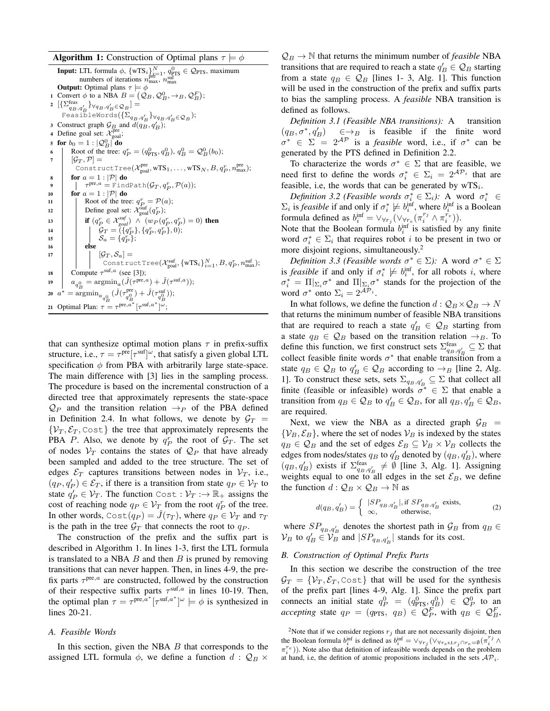**Algorithm 1:** Construction of Optimal plans  $\tau \models \phi$ 

**Input:** LTL formula  $\phi$ ,  $\{wTS_i\}_{i=1}^N$ ,  $q_{\text{PTS}}^{\text{pre}} \in \mathcal{Q}_{\text{PTS}}$ , maximum numbers of iterations  $n_{\text{max}}^{\text{pre}}$ ,  $n_{\text{max}}^{\text{sum}}$ **Output:** Optimal plans  $\tau \models \phi$ 1 Convert  $\phi$  to a NBA  $B = (Q_B, Q_B^0, \rightarrow_B, Q_B^F)$ ; 2  $\left[\left\{\sum_{q_B,q'_B}\right\}_{\forall q_B,q'_B\in\mathcal{Q}_B}\right]=$ FeasibleWords $(\{\Sigma_{q_B,q'_B}\}_{\forall q_B,q'_B \in \mathcal{Q}_B});$ 3 Construct graph  $\mathcal{G}_B$  and  $\overline{d(q_B, q_B')}$ ;<br>4 Define goal set:  $\mathcal{X}_{\text{goal}}^{\text{pre}}$ ; 5 for  $b_0 = 1 : |\mathcal{Q}_B^0|$  do 6 Root of the tree:  $q_P^r = (q_{\text{PTS}}^0, q_B^0), q_B^0 = \mathcal{Q}_B^0(b_0);$ 7  $[\mathcal{G}_T, \mathcal{P}] =$ ConstructTree( $\mathcal{X}_{\rm goal}^{\rm pre}$ , wTS<sub>1</sub>,...,wTS<sub>N</sub>,  $B, q_P^r$ ,  $n_{\rm max}^{\rm pre}$ ); 8 for  $a = 1 : |\mathcal{P}|$  do 9  $\tau^{\text{pre},a} = \text{FindPath}(\mathcal{G}_T, q_P^r, \mathcal{P}(a));$ 10 **for**  $a = 1 : |\mathcal{P}|$  **do** 11 | Root of the tree:  $q_P^r = \mathcal{P}(a)$ ; 12 Define goal set:  $\mathcal{X}_{\text{goal}}^{\text{surf}}(q_P^r);$ 13 **if**  $(q_P^r \in \mathcal{X}_{goal}^{suf}) \wedge (w_P(q_P^r, q_P^r) = 0)$  then 14  $\int q_T = (\{q_P^r\}, \{q_P^r, q_P^r\}, 0);$ 15  $\Big| \Big| \Big| S_a = \{\tilde{q}_P^r\};$ 16 **else**  $\mathfrak{g}_T$   $[\mathcal{G}_T, \mathcal{S}_a] =$ ConstructTree( $\mathcal{X}_{\rm goal}^{\rm surf}, \{\rm wTS}_i\}_{i=1}^N, B, q_P^r, n_{\rm max}^{\rm suf});$ 18 Compute  $\tau^{\text{suf},a}$  (see [3]); 19  $a_{q_B^0} = \text{argmin}_a(\hat{J}(\tau^{\text{pre},a}) + \hat{J}(\tau^{\text{suf},a}));$ 20  $a^*$  $^*=\text{argmin}_{\substack{a_{q_B^0}}}\,(\hat{J}(\tau^{\text{pre}}_{q^0_B})+\hat{J}(\tau^{\text{suf}}_{q_B^0}));$ 21 Optimal Plan:  $\tau = \tau^{\text{pre},a^*} [\tau^{\text{suf},a^*}] \tilde{\omega}$ ;

that can synthesize optimal motion plans  $\tau$  in prefix-suffix structure, i.e.,  $\tau = \tau^{\text{pre}}[\tau^{\text{suf}}]^{\omega}$ , that satisfy a given global LTL specification  $\phi$  from PBA with arbitrarily large state-space. The main difference with [3] lies in the sampling process. The procedure is based on the incremental construction of a directed tree that approximately represents the state-space  $\mathcal{Q}_P$  and the transition relation  $\rightarrow_P$  of the PBA defined in Definition 2.4. In what follows, we denote by  $G_T =$  $\{V_T, \mathcal{E}_T, \text{Cost}\}\$  the tree that approximately represents the PBA P. Also, we denote by  $q_P^r$  the root of  $\mathcal{G}_T$ . The set of nodes  $V_T$  contains the states of  $\mathcal{Q}_P$  that have already been sampled and added to the tree structure. The set of edges  $\mathcal{E}_T$  captures transitions between nodes in  $\mathcal{V}_T$ , i.e.,  $(q_P, q_P') \in \mathcal{E}_T$ , if there is a transition from state  $q_P \in \mathcal{V}_T$  to state  $q'_{P} \in V_{T}$ . The function Cost :  $V_{T} \rightarrow \mathbb{R}_{+}$  assigns the cost of reaching node  $q_P \in V_{T_\lambda}$  from the root  $q_P^r$  of the tree. In other words,  $Cost(q_P) = \tilde{J}(\tau_T)$ , where  $q_P \in V_T$  and  $\tau_T$ is the path in the tree  $\mathcal{G}_T$  that connects the root to  $q_P$ .

The construction of the prefix and the suffix part is described in Algorithm 1. In lines 1-3, first the LTL formula is translated to a NBA  $B$  and then  $B$  is pruned by removing transitions that can never happen. Then, in lines 4-9, the prefix parts  $\tau^{pre,a}$  are constructed, followed by the construction of their respective suffix parts  $\tau^{\text{suf},a}$  in lines 10-19. Then, the optimal plan  $\tau = \tau^{\text{pre},a^*}[\tau^{\text{suf},a^*}]^\omega \models \phi$  is synthesized in lines 20-21.

### *A. Feasible Words*

In this section, given the NBA  $B$  that corresponds to the assigned LTL formula  $\phi$ , we define a function  $d : \mathcal{Q}_B \times$ 

 $\mathcal{Q}_B \to \mathbb{N}$  that returns the minimum number of *feasible* NBA transitions that are required to reach a state  $q'_B \in \mathcal{Q}_B$  starting from a state  $q_B \in \mathcal{Q}_B$  [lines 1- 3, Alg. 1]. This function will be used in the construction of the prefix and suffix parts to bias the sampling process. A *feasible* NBA transition is defined as follows.

*Definition 3.1 (Feasible NBA transitions):* A transition  $(q_B, \sigma^*, q'_B) \in \rightarrow_B$  is feasible if the finite word  $\sigma^* \in \Sigma$  =  $2^{\mathcal{AP}}$  is a *feasible* word, i.e., if  $\sigma^*$  can be generated by the PTS defined in Definition 2.2.

To characterize the words  $\sigma^* \in \Sigma$  that are feasible, we need first to define the words  $\sigma_i^* \in \Sigma_i = 2^{\mathcal{AP}_i}$  that are feasible, i.e, the words that can be generated by  $wTS_i$ .

*Definition 3.2 (Feasible words*  $\sigma_i^* \in \Sigma_i$ ): A word  $\sigma_i^* \in$  $\Sigma_i$  is *feasible* if and only if  $\sigma_i^* \not\models b_i^{\text{inf}}$ , where  $b_i^{\text{inf}}$  is a Boolean formula defined as  $b_i^{\text{inf}} = \vee_{\forall r_j} (\vee_{\forall r_e} (\pi_i^{r_j} \wedge \pi_i^{r_e})).$ 

Note that the Boolean formula  $b_i^{\text{inf}}$  is satisfied by any finite word  $\sigma_i^* \in \Sigma_i$  that requires robot *i* to be present in two or more disjoint regions, simultaneously.<sup>2</sup>

*Definition 3.3 (Feasible words*  $\sigma^* \in \Sigma$ ): A word  $\sigma^* \in \Sigma$ is *feasible* if and only if  $\sigma_i^* \not\models b_i^{\text{inf}}$ , for all robots *i*, where  $\sigma_i^* = \prod_{\sum_i} \sigma^*$  and  $\prod_{\sum_i} \sigma^*$  stands for the projection of the word  $\sigma^*$  onto  $\Sigma_i = 2^{\mathcal{AP}_i}$ .

In what follows, we define the function  $d: Q_B \times Q_B \rightarrow N$ that returns the minimum number of feasible NBA transitions that are required to reach a state  $q'_B \in \mathcal{Q}_B$  starting from a state  $q_B \in \mathcal{Q}_B$  based on the transition relation  $\rightarrow_B$ . To define this function, we first construct sets  $\Sigma_{q_B,q'_B}^{\text{feas}} \subseteq \Sigma$  that collect feasible finite words  $\sigma^*$  that enable transition from a state  $q_B \in \mathcal{Q}_B$  to  $q'_B \in \mathcal{Q}_B$  according to  $\rightarrow_B$  [line 2, Alg. 1]. To construct these sets, sets  $\Sigma_{q_B,q'_B} \subseteq \Sigma$  that collect all finite (feasible or infeasible) words  $\sigma^* \in \Sigma$  that enable a transition from  $q_B \in \mathcal{Q}_B$  to  $q'_B \in \mathcal{Q}_B$ , for all  $q_B, q'_B \in \mathcal{Q}_B$ , are required.

Next, we view the NBA as a directed graph  $\mathcal{G}_B$  =  $\{V_B, \mathcal{E}_B\}$ , where the set of nodes  $V_B$  is indexed by the states  $q_B \in \mathcal{Q}_B$  and the set of edges  $\mathcal{E}_B \subseteq \mathcal{V}_B \times \mathcal{V}_B$  collects the edges from nodes/states  $q_B$  to  $q'_B$  denoted by  $(q_B, q'_B)$ , where  $(q_B, q_B')$  exists if  $\Sigma_{q_B, q_B'}^{\text{feas}} \neq \emptyset$  [line 3, Alg. 1]. Assigning weights equal to one to all edges in the set  $\mathcal{E}_B$ , we define the function  $d: Q_B \times Q_B \rightarrow \mathbb{N}$  as

$$
d(q_B, q'_B) = \begin{cases} |SP_{q_B, q'_B}|, & \text{if } SP_{q_B, q'_B} \text{ exists,} \\ \infty, & \text{otherwise,} \end{cases}
$$
 (2)

where  $SP_{q_B, q'_B}$  denotes the shortest path in  $\mathcal{G}_B$  from  $q_B \in$  $\mathcal{V}_B$  to  $q'_B \in \mathcal{V}_B$  and  $|SP_{q_B,q'_B}|$  stands for its cost.

# *B. Construction of Optimal Prefix Parts*

In this section we describe the construction of the tree  $\mathcal{G}_T = \{ \mathcal{V}_T, \mathcal{E}_T, \text{Cost} \}$  that will be used for the synthesis of the prefix part [lines 4-9, Alg. 1]. Since the prefix part connects an initial state  $q_P^0 = (q_{\text{PTS}}^0, \underline{q}_B^0) \in \mathcal{Q}_P^0$  to an *accepting* state  $q_P = (q_{\text{PTS}}, q_B) \in \mathcal{Q}_P^F$ , with  $q_B \in \mathcal{Q}_B^F$ ,

<sup>&</sup>lt;sup>2</sup>Note that if we consider regions  $r_j$  that are not necessarily disjoint, then the Boolean formula  $b_i^{\text{inf}}$  is defined as  $b_i^{\text{inf}} = \vee_{\forall r_j} (\vee_{\forall r_e \in \text{st.} r_j \cap r_e = \emptyset} (\pi_i^{r_j} \wedge$  $\pi_i^{re})$ ). Note also that definition of infeasible words depends on the problem at hand, i.e, the defition of atomic propositions included in the sets  $AP_i$ .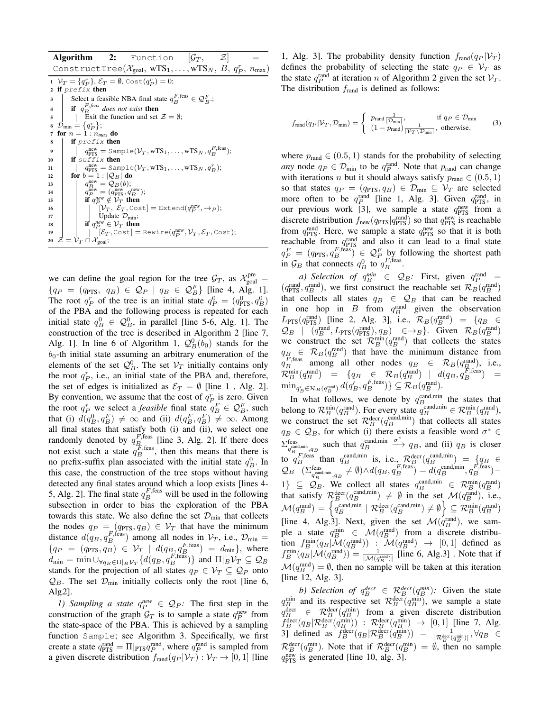|                | <b>Algorithm 2:</b> Function $ \mathcal{G}_T, \mathcal{Z} $                                                                                                                        |
|----------------|------------------------------------------------------------------------------------------------------------------------------------------------------------------------------------|
|                | ConstructTree( $\mathcal{X}_{goal}$ , wTS <sub>1</sub> ,,wTS <sub>N</sub> , $B, q_P^r, n_{\text{max}}$ )                                                                           |
|                | 1 $V_T = \{q_P^r\}, \mathcal{E}_T = \emptyset$ , Cost $(q_P^r) = 0$ ;<br>2 if prefix then                                                                                          |
| 3              | Select a feasible NBA final state $q_R^{F,\text{feas}} \in \mathcal{Q}_R^F$ .                                                                                                      |
| $\overline{4}$ | <b>if</b> $q_R^{F,feas}$ does not exist <b>then</b>                                                                                                                                |
| 5              | Exit the function and set $\mathcal{Z} = \emptyset$ ;                                                                                                                              |
|                | 6 $\mathcal{D}_{\min} = \{q_P^r\};$                                                                                                                                                |
|                | 7 for $n=1:n_{max}$ do                                                                                                                                                             |
| 8              | if $prefix$ then                                                                                                                                                                   |
| 9              | $q_{\text{PTS}}^{\text{new}} = \text{Sample}(\mathcal{V}_T, \text{wTS}_1, \dots, \text{wTS}_N, q_R^{F,\text{feas}});$                                                              |
| 10             | if $suffix$ then                                                                                                                                                                   |
| 11             | $q_{\text{PTS}}^{\text{new}} = \text{Sample}(\mathcal{V}_T, \text{wTS}_1, \dots, \text{wTS}_N, q_R^r);$                                                                            |
| 12             | for $b=1: \mathcal{Q}_B $ do                                                                                                                                                       |
| 13             | $\begin{array}{l} q^{\rm new}_B=\mathcal{Q}_B(b);\\ q^{\rm new}_P=(q^{\rm new}_{\rm PTS},q^{\rm new}_B);\\ {\bf if}\ q^{\rm new}_P\notin \mathcal{V}_T\ \textbf{then} \end{array}$ |
| 14             |                                                                                                                                                                                    |
| 15             |                                                                                                                                                                                    |
| 16             | $[V_T, \mathcal{E}_T, \text{Cost}] = \text{Extend}(q_P^{\text{new}}, \rightarrow_P);$<br>Update $\mathcal{D}_{\text{min}}$ ;                                                       |
| 17             |                                                                                                                                                                                    |
| 18             | if $q_P^{new} \in \mathcal{V}_T$ then                                                                                                                                              |
| 19             | $ \mathcal{E}_T$ , Cost = Rewire( $q_P^{\text{new}}, \mathcal{V}_T, \mathcal{E}_T$ , Cost);                                                                                        |
|                | 20 $\mathcal{Z} = \mathcal{V}_T \cap \mathcal{X}_{\text{goal}};$                                                                                                                   |

we can define the goal region for the tree  $\mathcal{G}_T$ , as  $\mathcal{X}_{\text{goal}}^{\text{pre}} =$  ${q_P = (q_{\text{PTS}}, q_B) \in \mathcal{Q}_P \mid q_B \in \mathcal{Q}_B^F}$  [line 4, Alg. 1]. The root  $q_P^r$  of the tree is an initial state  $q_P^0 = (q_{\text{PTS}}^0, q_B^0)$ of the PBA and the following process is repeated for each initial state  $q_B^0 \in \mathcal{Q}_B^0$ , in parallel [line 5-6, Alg. 1]. The construction of the tree is described in Algorithm 2 [line 7, Alg. 1]. In line 6 of Algorithm 1,  $\mathcal{Q}_B^0(b_0)$  stands for the  $b_0$ -th initial state assuming an arbitrary enumeration of the elements of the set  $\mathcal{Q}_B^0$ . The set  $\mathcal{V}_T$  initially contains only the root  $q_P^r$ , i.e., an initial state of the PBA and, therefore, the set of edges is initialized as  $\mathcal{E}_T = \emptyset$  [line 1, Alg. 2]. By convention, we assume that the cost of  $q_P^r$  is zero. Given the root  $q_P^r$  we select a *feasible* final state  $q_B^F \in \mathcal{Q}_B^F$ , such that (i)  $d(q_B^0, q_B^F) \neq \infty$  and (ii)  $d(q_B^F, q_B^F) \neq \infty$ . Among all final states that satisfy both (i) and (ii), we select one randomly denoted by  $q_{B_{1,c}}^{F,\text{feas}}$  [line 3, Alg. 2]. If there does not exist such a state  $q_B^{\mathcal{F},\text{feas}}$ , then this means that there is no prefix-suffix plan associated with the initial state  $q_B^0$ . In this case, the construction of the tree stops without having detected any final states around which a loop exists [lines 4- 5, Alg. 2]. The final state  $q_B^{F,\text{feas}}$  will be used in the following subsection in order to bias the exploration of the PBA towards this state. We also define the set  $\mathcal{D}_{\text{min}}$  that collects the nodes  $q_P = (q_{\text{PTS}}, q_B) \in \mathcal{V}_T$  that have the minimum distance  $d(q_B, q_B^{F,\text{feas}})$  among all nodes in  $V_T$ , i.e.,  $\mathcal{D}_{\text{min}} =$  $\{q_P = (q_{\text{PTS}}, q_B) \in \mathcal{V}_T \mid d(q_{B_1}, q_B^{F,\text{feas}}) = d_{\text{min}}\},\text{ where}$  $d_{\min} = \min \cup_{\forall q_B \in \Pi|_B} \mathcal{V}_T \{d(q_B, q_B^{F,\text{feas}})\}\$  and  $\Pi|_B \mathcal{V}_T \subseteq \mathcal{Q}_B$ stands for the projection of all states  $q_P \in \mathcal{V}_T \subseteq \mathcal{Q}_P$  onto  $\mathcal{Q}_B$ . The set  $\mathcal{D}_{\text{min}}$  initially collects only the root [line 6,  $Alg2$ ].

*1)* Sampling a state  $q_P^{new} \in Q_P$ : The first step in the construction of the graph  $\mathcal{G}_T$  is to sample a state  $q_P^{\text{new}}$  from the state-space of the PBA. This is achieved by a sampling function Sample; see Algorithm 3. Specifically, we first create a state  $q_{\text{PTS}}^{\text{rand}} = \Pi |_{\text{PTS}} q_P^{\text{rand}},$  where  $q_P^{\text{rand}}$  is sampled from a given discrete distribution  $f_{\text{rand}}(q_P | V_T) : V_T \to [0, 1]$  [line

1, Alg. 3]. The probability density function  $f_{\text{rand}}(q_P | \mathcal{V}_T)$ defines the probability of selecting the state  $q_P \in V_T$  as the state  $q_P^{\text{rand}}$  at iteration n of Algorithm 2 given the set  $\mathcal{V}_T$ . The distribution  $f_{\text{rand}}$  is defined as follows:

$$
f_{\text{rand}}(q_P | \mathcal{V}_T, \mathcal{D}_{\text{min}}) = \begin{cases} p_{\text{rand}} \frac{1}{|\mathcal{D}_{\text{min}}|}, & \text{if } q_P \in \mathcal{D}_{\text{min}} \\ (1 - p_{\text{rand}}) \frac{1}{|\mathcal{V}_T \setminus \mathcal{D}_{\text{min}}|}, & \text{otherwise,} \end{cases}
$$
(3)

where  $p_{\text{rand}} \in (0.5, 1)$  stands for the probability of selecting *any* node  $q_P \in \mathcal{D}_{\text{min}}$  to be  $q_P^{\text{rand}}$ . Note that  $p_{\text{rand}}$  can change with iterations *n* but it should always satisfy  $p_{\text{rand}} \in (0.5, 1)$ so that states  $q_P = (q_{\text{PTS}}, q_B) \in \mathcal{D}_{\text{min}} \subseteq \mathcal{V}_T$  are selected more often to be  $q_P^{\text{rand}}$  [line 1, Alg. 3]. Given  $q_{\text{PTS}}^{\text{rand}}$ , in our previous work [3], we sample a state  $q_{\text{PTS}}^{\text{new}}$  from a discrete distribution  $f_{\text{new}}(q_{\text{PTS}}|q_{\text{PTS}}^{\text{rand}})$  so that  $q_{\text{PTS}}^{\text{new}}$  is reachable from  $q_{\text{PTS}}^{\text{rand}}$ . Here, we sample a state  $q_{\text{PTS}}^{\text{new}}$  so that it is both reachable from  $q_{\text{PTS}}^{\text{rand}}$  and also it can lead to a final state  $q_P^F = (q_{\text{PTS}}, q_B^{F,\text{feas}}) \in \mathcal{Q}_P^F$  by following the shortest path in  $\mathcal{G}_B$  that connects  $q_B^0$  to  $q_B^{F,\text{feas}}$ .

*a)* Selection of  $q_B^{min} \in Q_B$ : First, given  $q_P^{rand} =$  $(q_{\text{PTS}}^{\text{rand}}, q_B^{\text{rand}})$ , we first construct the reachable set  $\mathcal{R}_B(q_B^{\text{rand}})$ that collects all states  $q_B \in \mathcal{Q}_B$  that can be reached in one hop in  $B$  from  $q_B^{\text{rand}}$  given the observation  $L_{\text{PTS}}(q_{\text{PTS}}^{\text{rand}})$  [line 2, Alg. 3], i.e.,  $\mathcal{R}_B(q_B^{\text{rand}}) = \{q_B \in$  $\mathcal{Q}_B$  |  $(q_B^{\text{rand}}, L_{\text{PTS}}(q_{\text{PTS}}^{\text{rand}}), q_B) \in \rightarrow_B$ . Given  $\mathcal{R}_B(q_B^{\text{rand}})$ we construct the set  $\mathcal{R}_B^{\text{min}}(q_B^{\text{rand}})$  that collects the states  $q_{B_{\epsilon}} \in \mathcal{R}_B(q_B^{\text{rand}})$  that have the minimum distance from  $q_B^{F, \text{feas}}$  among all other nodes  $q_B \in \mathcal{R}_B(q_{B_c}^{\text{rand}})$ , i.e.,  $\mathcal{R}_B^{\text{min}}(q_B^{\text{rand}}) = \{q_B \in \mathcal{R}_B(q_B^{\text{rand}}) \mid d(q_B, q_B^{\text{F,feas}}) =$  $\min_{q'_{B}\in\mathcal{R}_{B}(q_{B}^{\mathrm{rand}})}d(q'_{B},q_{B}^{F,\mathrm{feas}})\}\subseteq \mathcal{\bar{R}}_{B}(q_{B}^{\mathrm{rand}}).$ 

In what follows, we denote by  $q_B^{\text{cand,min}}$  the states that belong to  $\mathcal{R}_B^{\min}(q_B^{\text{rand}})$ . For every state  $q_B^{\text{cand,min}} \in \mathcal{R}_B^{\min}(q_B^{\text{rand}})$ , we construct the set  $\mathcal{R}_B^{\text{decr}}(q_B^{\text{cand,min}})$  that collects all states  $q_B \in \mathcal{Q}_B$ , for which (i) there exists a feasible word  $\sigma^* \in$  $\sum_{\text{cam}}$ feas  $q_B^{\text{cand,min}}$  such that  $q_B^{\text{cand,min}}$  $\stackrel{\sigma^*}{\longrightarrow} q_B$ , and (ii)  $q_B$  is closer to  $q_B^{F,\text{feas}}$  than  $q_B^{\text{cand,min}}$  is, i.e.,  $\mathcal{R}_B^{\text{decr}}(q_B^{\text{cand,min}}) = \{q_B \in$  $Q_B \mid (\Sigma_{q_B^{\text{cand},\text{min}},q_B}^{\text{feas}} \neq \emptyset) \wedge d(q_B,q_B^{F,\text{feas}}) = d(q_B^{\text{cand},\text{min}},q_B^{F,\text{feas}}) -$ 1}  $\subseteq$   $\overline{\mathcal{Q}}_B$ . We collect all states  $q_B^{\text{cand,min}} \in \mathcal{R}_B^{\text{min}}(q_B^{\text{rand}})$ that satisfy  $\mathcal{R}_B^{\text{decr}}(q_B^{\text{cand,min}}) \neq \emptyset$  in the set  $\mathcal{M}(q_B^{\text{rand}})$ , i.e.,  $\mathcal{M}(q_B^{\text{rand}}) = \left\{ \overline{q}_B^{\text{cand,min}} \mid \mathcal{R}_B^{\text{decr}}(q_B^{\text{cand,min}}) \neq \emptyset \right\} \subseteq \mathcal{R}_B^{\text{min}}(q_B^{\text{cand}})$ [line 4, Alg.3]. Next, given the set  $\mathcal{M}(q_B^{\text{rand}})$ , we sample a state  $q_B^{\min} \in \mathcal{M}(q_B^{\text{rand}})$  from a discrete distribution  $f_B^{\text{min}}(q_B | \mathcal{M}(q_B^{\text{rand}}))$  :  $\mathcal{M}(q_B^{\text{rand}})$   $\rightarrow$   $[0,1]$  defined as  $f_B^{\min}(q_B|\mathcal{M}(q_B^{\text{rand}})) = \frac{1}{|\mathcal{M}(q_B^{\text{rand}})|}$  [line 6, Alg.3]. Note that if  $\mathcal{M}(q_B^{\text{rand}}) = \emptyset$ , then no sample will be taken at this iteration [line 12, Alg. 3].

*b)* Selection of  $q_B^{decr} \in \mathcal{R}_B^{decr}(q_B^{min})$ : Given the state  $q_B^{\text{min}}$  and its respective set  $\mathcal{R}_B^{\text{decr}}(q_B^{\text{min}})$ , we sample a state  $q_B^{\text{decr}} \in \mathcal{R}_B^{\text{decr}}(q_B^{\text{min}})$  from a given discrete distribution  $f_B^{\text{decr}}(q_B | \mathcal{R}_B^{\text{decr}}(q_B^{\min}))$  :  $\mathcal{R}_B^{\text{decr}}(q_B^{\min}) \rightarrow [0,1]$  [line 7, Alg. 3) defined as  $\bar{f}_B^{\text{decr}}(q_B | \mathcal{R}_B^{\text{decr}}(q_B^{\text{min}})) = \frac{1}{|\mathcal{R}_B^{\text{decr}}(q_B^{\text{min}})|}, \forall q_B \in$  $\mathcal{R}_B^{\text{decr}}(q_B^{\min})$ . Note that if  $\mathcal{R}_B^{\text{decr}}(q_B^{\min}) = \emptyset$ , then no sample  $q_{\text{PTS}}^{\text{new}}$  is generated [line 10, alg. 3].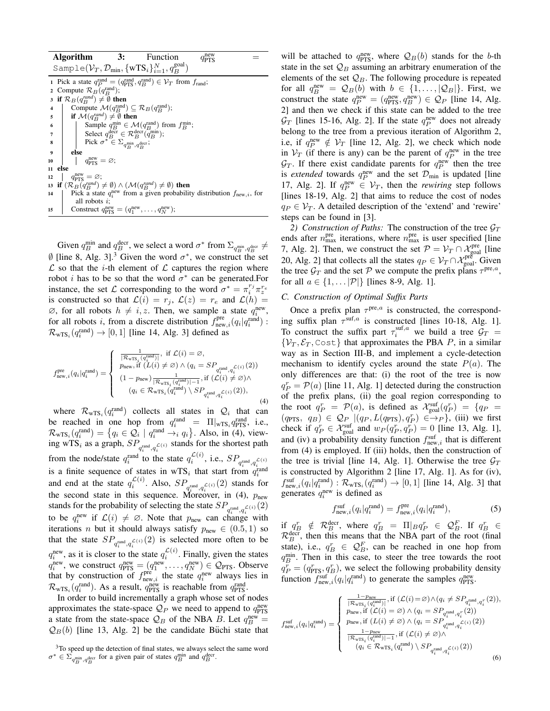| <b>Algorithm</b>        |                                                                                                                                   | 3:                                                                                       | Function                                                                                       |  |  |  |  |  |  |
|-------------------------|-----------------------------------------------------------------------------------------------------------------------------------|------------------------------------------------------------------------------------------|------------------------------------------------------------------------------------------------|--|--|--|--|--|--|
|                         | Sample( $V_T, \mathcal{D}_{min}, \{wTS_i\}_{i=1}^N, q_R^{\text{goal}}$ )                                                          |                                                                                          |                                                                                                |  |  |  |  |  |  |
|                         | 1 Pick a state $q_P^{\text{rand}} = (q_{\text{PTS}}^{\text{rand}}, q_B^{\text{rand}}) \in \mathcal{V}_T$ from $f_{\text{rand}}$ ; |                                                                                          |                                                                                                |  |  |  |  |  |  |
|                         | 2 Compute $\mathcal{R}_B(q_P^{\text{rand}})$ ;                                                                                    |                                                                                          |                                                                                                |  |  |  |  |  |  |
|                         | 3 if $\mathcal{R}_B(q_R^{rand}) \neq \emptyset$ then                                                                              |                                                                                          |                                                                                                |  |  |  |  |  |  |
| $\overline{\mathbf{4}}$ | Compute $\mathcal{M}(q_R^{\text{rand}}) \subseteq \mathcal{R}_B(q_R^{\text{rand}})$ ;                                             |                                                                                          |                                                                                                |  |  |  |  |  |  |
| $5^{\circ}$             | if $\mathcal{M}(q_R^{rand}) \neq \emptyset$ then                                                                                  |                                                                                          |                                                                                                |  |  |  |  |  |  |
|                         |                                                                                                                                   |                                                                                          | Sample $q_B^{\min} \in \mathcal{M}(q_B^{\text{rand}})$ from $f_B^{\min}$ ;                     |  |  |  |  |  |  |
|                         |                                                                                                                                   | Select $q_B^{\text{decr}} \in \mathcal{R}_B^{\text{decr}}(\overline{q}_B^{\text{min}});$ |                                                                                                |  |  |  |  |  |  |
|                         | $\begin{array}{c c} 6 & 7 \\ 7 & 8 \end{array}$                                                                                   | Pick $\sigma^* \in \Sigma_{q^{\min}_{B}, q^{\text{decr}}_{B}}$ ;                         |                                                                                                |  |  |  |  |  |  |
| $\overline{9}$          | else                                                                                                                              |                                                                                          |                                                                                                |  |  |  |  |  |  |
| 10                      | $q_{\text{prrs}}^{\text{new}} = \varnothing;$                                                                                     |                                                                                          |                                                                                                |  |  |  |  |  |  |
| 11                      | else                                                                                                                              |                                                                                          |                                                                                                |  |  |  |  |  |  |
| 12                      | $q_{\text{prrs}}^{\text{new}} = \varnothing;$                                                                                     |                                                                                          |                                                                                                |  |  |  |  |  |  |
|                         | 13 if $(\mathcal{R}_B(q_B^{rand}) \neq \emptyset) \wedge (\mathcal{M}(q_B^{rand}) \neq \emptyset)$ then                           |                                                                                          |                                                                                                |  |  |  |  |  |  |
| 14                      |                                                                                                                                   |                                                                                          | Pick a state $q_i^{\text{new}}$ from a given probability distribution $f_{\text{new},i}$ , for |  |  |  |  |  |  |
|                         | all robots $i$ ;                                                                                                                  |                                                                                          |                                                                                                |  |  |  |  |  |  |
| 15                      |                                                                                                                                   |                                                                                          | Construct $q_{\text{prs}}^{\text{new}} = (q_1^{\text{new}}, \dots, q_N^{\text{new}});$         |  |  |  |  |  |  |

Given  $q_B^{\text{min}}$  and  $q_B^{\text{decr}}$ , we select a word  $\sigma^*$  from  $\Sigma_{q_B^{\text{min}}, q_B^{\text{decr}}} \neq$  $\emptyset$  [line 8, Alg. 3].<sup>3</sup> Given the word  $\sigma^*$ , we construct the set  $\mathcal L$  so that the *i*-th element of  $\mathcal L$  captures the region where robot *i* has to be so that the word  $\sigma^*$  can be generated. For instance, the set  $\mathcal L$  corresponding to the word  $\sigma^* = \pi_i^{r_j} \pi_z^{r_e}$ is constructed so that  $\mathcal{L}(i) = r_j, \mathcal{L}(z) = r_e$  and  $\mathcal{L}(h) =$  $\emptyset$ , for all robots  $h \neq i, z$ . Then, we sample a state  $q_i^{\text{new}}$ , for all robots i, from a discrete distribution  $f_{\text{new},i}^{\text{pre}}(q_i|q_i^{\text{rand}})$ :  $\mathcal{R}_{\text{wTS}_i}(q_i^{\text{rand}}) \rightarrow [0, 1]$  [line 14, Alg. 3] defined as

$$
f_{\text{new},i}^{\text{pre}}(q_{i}|q_{i}^{\text{rand}}) = \left\{ \begin{array}{ll} \frac{1}{|\mathcal{R}_{\text{WTS}_i}(q_{i}^{\text{rand}})|}, \text{ if } \mathcal{L}(i) = \varnothing, \\ p_{\text{new},i} \text{ if } (L(i) \neq \varnothing) \land (q_{i} = SP_{q_{i}^{\text{rand}}, q_{i}^{\mathcal{L}(i)}}(2)) \\ (1 - p_{\text{new}}) \frac{1}{|\mathcal{R}_{\text{WTS}_i}(q_{i}^{\text{rand}})| - 1}, \text{if } (\mathcal{L}(i) \neq \varnothing) \land \\ (q_{i} \in \mathcal{R}_{\text{WTS}_i}(q_{i}^{\text{rand}}) \setminus SP_{q_{i}^{\text{rand}}, q_{i}^{\mathcal{L}(i)}}(2)), \end{array} \right.
$$

where  $\mathcal{R}_{\text{wTS}_i}(q_i^{\text{rand}})$  collects all states in  $\mathcal{Q}_i$  that can be reached in one hop from  $q_i^{\text{rand}} = \Pi |_{\text{wTS}_i} q_{\text{PTS}}^{\text{rand}}$ , i.e.,  $\mathcal{R}_{\text{wTS}_i}(q_i^{\text{rand}}) = \{q_i \in \mathcal{Q}_i \mid q_i^{\text{rand}} \rightarrow_i q_i\}.$  Also, in (4), viewing wTS<sub>i</sub> as a graph,  $SP_{q_i^{\text{rand}}, q_i^{\mathcal{L}(i)}}$  stands for the shortest path from the node/state  $q_i^{\text{rand}}$  to the state  $q_i^{\mathcal{L}(i)}$ , i.e.,  $SP_{q_i^{\text{rand}}, q_i^{\mathcal{L}(i)}}$ is a finite sequence of states in wTS<sub>i</sub> that start from  $q_i^{\text{rand}}$ and end at the state  $q_i^{\mathcal{L}(i)}$ . Also,  $SP_{q_i^{\text{rand}}, q_i^{\mathcal{L}(i)}}(2)$  stands for the second state in this sequence. Moreover, in (4),  $p_{\text{new}}$ stands for the probability of selecting the state  $SP_{q_i^{\text{rand}}, q_i^{\mathcal{L}(i)}}(2)$ to be  $q_i^{\text{new}}$  if  $\mathcal{L}(i) \neq \emptyset$ . Note that  $p_{\text{new}}$  can change with iterations *n* but it should always satisfy  $p_{\text{new}} \in (0.5, 1)$  so that the state  $SP_{q_i^{\text{rand}},q_i^{\mathcal{L}(i)}}(2)$  is selected more often to be  $q_i^{\text{new}}$ , as it is closer to the state  $q_i^{\mathcal{L}(i)}$ . Finally, given the states  $q_i^{\text{new}}$ , we construct  $q_{\text{PTS}}^{\text{new}} = (q_1^{\text{new}}, \dots, q_N^{\text{new}}) \in \mathcal{Q}_{\text{PTS}}$ . Observe that by construction of  $f_{\text{new},i}^{\text{pre}}$  the state  $q_i^{\text{new}}$  always lies in  $\mathcal{R}_{\text{wTS}_i}(q_i^{\text{rand}})$ . As a result,  $q_{\text{PTS}}^{\text{new}}$  is reachable from  $q_{\text{PTS}}^{\text{rand}}$ .

In order to build incrementally a graph whose set of nodes approximates the state-space  $\mathcal{Q}_P$  we need to append to  $q_{\text{PTS}}^{\text{new}}$ a state from the state-space  $\mathcal{Q}_B$  of the NBA B. Let  $q_B^{\text{new}} =$  $\mathcal{Q}_{B}(b)$  [line 13, Alg. 2] be the candidate Büchi state that

will be attached to  $q_{\text{PTS}}^{\text{new}}$ , where  $\mathcal{Q}_B(b)$  stands for the b-th state in the set  $\mathcal{Q}_B$  assuming an arbitrary enumeration of the elements of the set  $\mathcal{Q}_B$ . The following procedure is repeated for all  $q_B^{\text{new}} = \mathcal{Q}_B(b)$  with  $b \in \{1, ..., |\mathcal{Q}_B|\}$ . First, we construct the state  $q_P^{\text{new}} = (q_{\text{PTS}}^{\text{new}}, q_B^{\text{new}}) \in \mathcal{Q}_P$  [line 14, Alg. 2] and then we check if this state can be added to the tree  $\mathcal{G}_T$  [lines 15-16, Alg. 2]. If the state  $q_P^{\text{new}}$  does not already belong to the tree from a previous iteration of Algorithm 2, i.e, if  $q_P^{\text{new}} \notin V_T$  [line 12, Alg. 2], we check which node in  $V_T$  (if there is any) can be the parent of  $q_P^{\text{new}}$  in the tree  $\mathcal{G}_T$ . If there exist candidate parents for  $q_P^{\text{new}}$  then the tree is *extended* towards  $q_P^{\text{new}}$  and the set  $\mathcal{D}_{\text{min}}$  is updated [line 17, Alg. 2]. If  $q_P^{\text{new}} \in V_T$ , then the *rewiring* step follows [lines 18-19, Alg. 2] that aims to reduce the cost of nodes  $q_P \in V_T$ . A detailed description of the 'extend' and 'rewire' steps can be found in [3].

2) Construction of Paths: The construction of the tree  $\mathcal{G}_T$ ends after  $n_{\text{max}}^{\text{pre}}$  iterations, where  $n_{\text{max}}^{\text{pre}}$  is user specified [line 7, Alg. 2]. Then, we construct the set  $\mathcal{P} = \mathcal{V}_T \cap \mathcal{X}_{\text{goal}}^{\text{pre}}$  [line 20, Alg. 2] that collects all the states  $q_P \in \mathcal{V}_T \cap \mathcal{X}_{\text{goal}}^{\text{pre}}$  Given the tree  $\mathcal{G}_T$  and the set P we compute the prefix plans  $\tau^{pre,a}$ , for all  $a \in \{1, \ldots |P|\}$  [lines 8-9, Alg. 1].

# *C. Construction of Optimal Suffix Parts*

Once a prefix plan  $\tau^{pre,a}$  is constructed, the corresponding suffix plan  $\tau^{suf,a}$  is constructed [lines 10-18, Alg. 1]. To construct the suffix part  $\tau_i^{\text{surf},a}$  we build a tree  $\mathcal{G}_T$  =  $\{V_T, \mathcal{E}_T, \text{Cost}\}\$  that approximates the PBA P, in a similar way as in Section III-B, and implement a cycle-detection mechanism to identify cycles around the state  $P(a)$ . The only differences are that: (i) the root of the tree is now  $q_P^r = \mathcal{P}(a)$  [line 11, Alg. 1] detected during the construction of the prefix plans, (ii) the goal region corresponding to the root  $q_P^r = \mathcal{P}(a)$ , is defined as  $\mathcal{X}_{\text{goal}}^{\text{suf}}(q_P^r) = \{q_P =$  $(q_{\text{PTS}}, q_B) \in \mathcal{Q}_{P}$   $|(q_P, L(q_{\text{PTS}}), q_P^r) \in \rightarrow P$ , (iii) we first check if  $q_P^r \in \mathcal{X}_{\text{goal}}^{\text{suf}}$  and  $w_P(q_P^r, q_P^r) = 0$  [line 13, Alg. 1], and (iv) a probability density function  $f_{\text{new},i}^{\text{suf}}$  that is different from (4) is employed. If (iii) holds, then the construction of the tree is trivial [line 14, Alg. 1]. Otherwise the tree  $\mathcal{G}_T$ is constructed by Algorithm 2 [line 17, Alg. 1]. As for (iv),  $f_{\text{new},i}^{\text{suf}}(q_i|q_i^{\text{rand}}): \mathcal{R}_{\text{wTS}_i}(q_i^{\text{rand}}) \rightarrow [0,1]$  [line 14, Alg. 3] that generates  $q_i^{\text{new}}$  is defined as

$$
f_{\text{new},i}^{\text{suf}}(q_i|q_i^{\text{rand}}) = f_{\text{new},i}^{\text{pre}}(q_i|q_i^{\text{rand}}),\tag{5}
$$

if  $q_B^r \notin \mathcal{R}_B^{\text{decr}}$ , where  $q_B^r = \Pi|_B q_P^r \in \mathcal{Q}_B^F$ . If  $q_B^r \in$  $\mathcal{R}_B^{\text{decr}}$ , then this means that the NBA part of the root (final state), i.e.,  $q_B^r \in \mathcal{Q}_B^F$ , can be reached in one hop from  $q_B^{\text{min}}$ . Then in this case, to steer the tree towards the root  $q_P^{\overline{r}} = (q_{\text{PTS}}^r, q_B^r)$ , we select the following probability density function  $f_{\text{new},i}^{\text{surf}}(q_i|q_i^{\text{rand}})$  to generate the samples  $q_{\text{PTS}}^{\text{new}}$ .

$$
f_{\text{new},i}^{\text{suf}}(q_i|q_i^{\text{rand}}) = \left\{ \begin{array}{l} \frac{1 - p_{\text{new}}}{|\mathcal{R}_{\text{wTS}_i}(q_i^{\text{rand}})|}, \text{if } (\mathcal{L}(i) = \varnothing) \land (q_i \neq SP_{q_i^{\text{rand}},q_i^{\text{r}}}(2)),\\ p_{\text{new},i} \text{ if } (\mathcal{L}(i) = \varnothing) \land (q_i = SP_{q_i^{\text{rand}},q_i^{\text{r}}}(2))\\ p_{\text{new},i} \text{ if } (L(i) \neq \varnothing) \land (q_i = SP_{q_i^{\text{rand}},q_i^{\mathcal{L}(i)}}(2))\\ \frac{1 - p_{\text{new}}}{|\mathcal{R}_{\text{wTS}_i}(q_i^{\text{rand}})| - 1}, \text{if } (\mathcal{L}(i) \neq \varnothing) \land \\ (q_i \in \mathcal{R}_{\text{wTS}_i}(q_i^{\text{rand}}) \setminus SP_{q_i^{\text{rand}},q_i^{\mathcal{L}(i)}}(2)) \end{array} \right.
$$

<sup>3</sup>To speed up the detection of final states, we always select the same word  $\sigma^* \in \Sigma_{q_B^{\text{min}}, q_B^{\text{decr}}}$  for a given pair of states  $q_B^{\text{min}}$  and  $q_B^{\text{decr}}$ .